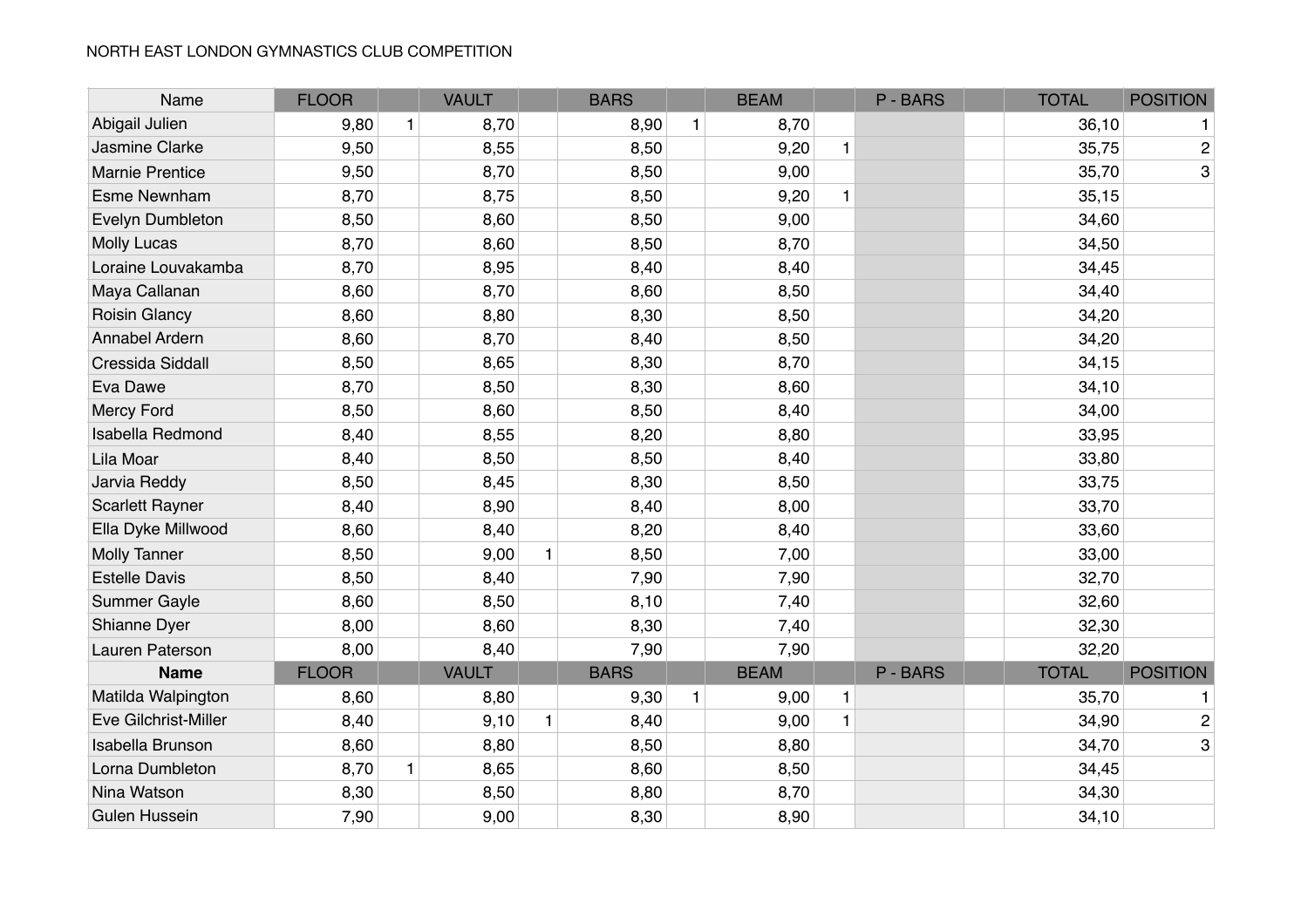| Name                    | <b>FLOOR</b> |              | <b>VAULT</b> |              | <b>BARS</b> |              | <b>BEAM</b> |              | P-BARS   | <b>TOTAL</b> | <b>POSITION</b> |
|-------------------------|--------------|--------------|--------------|--------------|-------------|--------------|-------------|--------------|----------|--------------|-----------------|
| Abigail Julien          | 9,80         | $\mathbf{1}$ | 8,70         |              | 8,90        | $\mathbf{1}$ | 8,70        |              |          | 36,10        | 1               |
| Jasmine Clarke          | 9,50         |              | 8,55         |              | 8,50        |              | 9,20        | $\mathbf{1}$ |          | 35,75        | $\overline{c}$  |
| <b>Marnie Prentice</b>  | 9,50         |              | 8,70         |              | 8,50        |              | 9,00        |              |          | 35,70        | 3               |
| <b>Esme Newnham</b>     | 8,70         |              | 8,75         |              | 8,50        |              | 9,20        | $\mathbf{1}$ |          | 35,15        |                 |
| Evelyn Dumbleton        | 8,50         |              | 8,60         |              | 8,50        |              | 9,00        |              |          | 34,60        |                 |
| <b>Molly Lucas</b>      | 8,70         |              | 8,60         |              | 8,50        |              | 8,70        |              |          | 34,50        |                 |
| Loraine Louvakamba      | 8,70         |              | 8,95         |              | 8,40        |              | 8,40        |              |          | 34,45        |                 |
| Maya Callanan           | 8,60         |              | 8,70         |              | 8,60        |              | 8,50        |              |          | 34,40        |                 |
| <b>Roisin Glancy</b>    | 8,60         |              | 8,80         |              | 8,30        |              | 8,50        |              |          | 34,20        |                 |
| Annabel Ardern          | 8,60         |              | 8,70         |              | 8,40        |              | 8,50        |              |          | 34,20        |                 |
| Cressida Siddall        | 8,50         |              | 8,65         |              | 8,30        |              | 8,70        |              |          | 34,15        |                 |
| Eva Dawe                | 8,70         |              | 8,50         |              | 8,30        |              | 8,60        |              |          | 34,10        |                 |
| Mercy Ford              | 8,50         |              | 8,60         |              | 8,50        |              | 8,40        |              |          | 34,00        |                 |
| <b>Isabella Redmond</b> | 8,40         |              | 8,55         |              | 8,20        |              | 8,80        |              |          | 33,95        |                 |
| Lila Moar               | 8,40         |              | 8,50         |              | 8,50        |              | 8,40        |              |          | 33,80        |                 |
| Jarvia Reddy            | 8,50         |              | 8,45         |              | 8,30        |              | 8,50        |              |          | 33,75        |                 |
| <b>Scarlett Rayner</b>  | 8,40         |              | 8,90         |              | 8,40        |              | 8,00        |              |          | 33,70        |                 |
| Ella Dyke Millwood      | 8,60         |              | 8,40         |              | 8,20        |              | 8,40        |              |          | 33,60        |                 |
| <b>Molly Tanner</b>     | 8,50         |              | 9,00         | $\mathbf{1}$ | 8,50        |              | 7,00        |              |          | 33,00        |                 |
| <b>Estelle Davis</b>    | 8,50         |              | 8,40         |              | 7,90        |              | 7,90        |              |          | 32,70        |                 |
| Summer Gayle            | 8,60         |              | 8,50         |              | 8,10        |              | 7,40        |              |          | 32,60        |                 |
| Shianne Dyer            | 8,00         |              | 8,60         |              | 8,30        |              | 7,40        |              |          | 32,30        |                 |
| Lauren Paterson         | 8,00         |              | 8,40         |              | 7,90        |              | 7,90        |              |          | 32,20        |                 |
| <b>Name</b>             | <b>FLOOR</b> |              | <b>VAULT</b> |              | <b>BARS</b> |              | <b>BEAM</b> |              | P - BARS | <b>TOTAL</b> | <b>POSITION</b> |
| Matilda Walpington      | 8,60         |              | 8,80         |              | 9,30        | 1            | 9,00        | 1            |          | 35,70        | 1               |
| Eve Gilchrist-Miller    | 8,40         |              | 9,10         | $\mathbf{1}$ | 8,40        |              | 9,00        | $\mathbf{1}$ |          | 34,90        | $\overline{c}$  |
| <b>Isabella Brunson</b> | 8,60         |              | 8,80         |              | 8,50        |              | 8,80        |              |          | 34,70        | 3               |
| Lorna Dumbleton         | 8,70         | $\mathbf{1}$ | 8,65         |              | 8,60        |              | 8,50        |              |          | 34,45        |                 |
| Nina Watson             | 8,30         |              | 8,50         |              | 8,80        |              | 8,70        |              |          | 34,30        |                 |
| Gulen Hussein           | 7,90         |              | 9,00         |              | 8,30        |              | 8,90        |              |          | 34,10        |                 |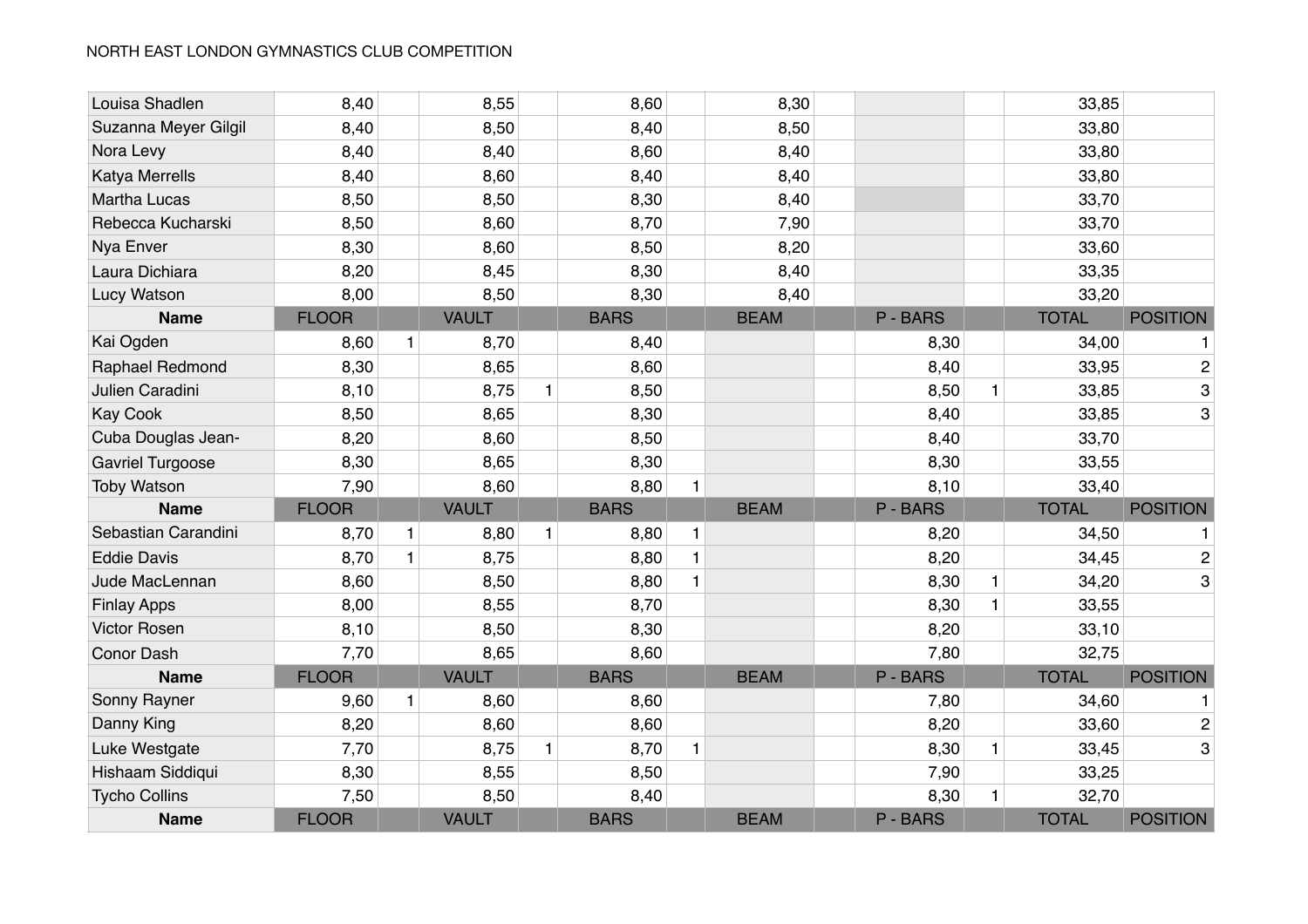| Louisa Shadlen       | 8,40         |              | 8,55         |              | 8,60        |              | 8,30        |          |   | 33,85        |                 |
|----------------------|--------------|--------------|--------------|--------------|-------------|--------------|-------------|----------|---|--------------|-----------------|
| Suzanna Meyer Gilgil | 8,40         |              | 8,50         |              | 8,40        |              | 8,50        |          |   | 33,80        |                 |
| Nora Levy            | 8,40         |              | 8,40         |              | 8,60        |              | 8,40        |          |   | 33,80        |                 |
| Katya Merrells       | 8,40         |              | 8,60         |              | 8,40        |              | 8,40        |          |   | 33,80        |                 |
| <b>Martha Lucas</b>  | 8,50         |              | 8,50         |              | 8,30        |              | 8,40        |          |   | 33,70        |                 |
| Rebecca Kucharski    | 8,50         |              | 8,60         |              | 8,70        |              | 7,90        |          |   | 33,70        |                 |
| Nya Enver            | 8,30         |              | 8,60         |              | 8,50        |              | 8,20        |          |   | 33,60        |                 |
| Laura Dichiara       | 8,20         |              | 8,45         |              | 8,30        |              | 8,40        |          |   | 33,35        |                 |
| Lucy Watson          | 8,00         |              | 8,50         |              | 8,30        |              | 8,40        |          |   | 33,20        |                 |
| <b>Name</b>          | <b>FLOOR</b> |              | <b>VAULT</b> |              | <b>BARS</b> |              | <b>BEAM</b> | P-BARS   |   | <b>TOTAL</b> | <b>POSITION</b> |
| Kai Ogden            | 8,60         | $\mathbf{1}$ | 8,70         |              | 8,40        |              |             | 8,30     |   | 34,00        |                 |
| Raphael Redmond      | 8,30         |              | 8,65         |              | 8,60        |              |             | 8,40     |   | 33,95        | $\overline{c}$  |
| Julien Caradini      | 8,10         |              | 8,75         | $\mathbf{1}$ | 8,50        |              |             | 8,50     | 1 | 33,85        | 3               |
| <b>Kay Cook</b>      | 8,50         |              | 8,65         |              | 8,30        |              |             | 8,40     |   | 33,85        | 3               |
| Cuba Douglas Jean-   | 8,20         |              | 8,60         |              | 8,50        |              |             | 8,40     |   | 33,70        |                 |
| Gavriel Turgoose     | 8,30         |              | 8,65         |              | 8,30        |              |             | 8,30     |   | 33,55        |                 |
| <b>Toby Watson</b>   | 7,90         |              | 8,60         |              | 8,80        | $\mathbf{1}$ |             | 8,10     |   | 33,40        |                 |
| <b>Name</b>          | <b>FLOOR</b> |              | <b>VAULT</b> |              | <b>BARS</b> |              | <b>BEAM</b> | P-BARS   |   | <b>TOTAL</b> | <b>POSITION</b> |
| Sebastian Carandini  | 8,70         | $\mathbf{1}$ | 8,80         | $\mathbf{1}$ | 8,80        | 1            |             | 8,20     |   | 34,50        |                 |
| <b>Eddie Davis</b>   | 8,70         | $\mathbf{1}$ | 8,75         |              | 8,80        | $\mathbf{1}$ |             | 8,20     |   | 34,45        | $\overline{2}$  |
| Jude MacLennan       | 8,60         |              | 8,50         |              | 8,80        | $\mathbf{1}$ |             | 8,30     | 1 | 34,20        | 3               |
| <b>Finlay Apps</b>   | 8,00         |              | 8,55         |              | 8,70        |              |             | 8,30     | 1 | 33,55        |                 |
| <b>Victor Rosen</b>  | 8,10         |              | 8,50         |              | 8,30        |              |             | 8,20     |   | 33,10        |                 |
| <b>Conor Dash</b>    | 7,70         |              | 8,65         |              | 8,60        |              |             | 7,80     |   | 32,75        |                 |
| <b>Name</b>          | <b>FLOOR</b> |              | <b>VAULT</b> |              | <b>BARS</b> |              | <b>BEAM</b> | P-BARS   |   | <b>TOTAL</b> | <b>POSITION</b> |
| Sonny Rayner         | 9,60         | $\mathbf{1}$ | 8,60         |              | 8,60        |              |             | 7,80     |   | 34,60        | 1               |
| Danny King           | 8,20         |              | 8,60         |              | 8,60        |              |             | 8,20     |   | 33,60        | $\overline{2}$  |
| Luke Westgate        | 7,70         |              | 8,75         | 1            | 8,70        | $\mathbf{1}$ |             | 8,30     | 1 | 33,45        | 3               |
| Hishaam Siddiqui     | 8,30         |              | 8,55         |              | 8,50        |              |             | 7,90     |   | 33,25        |                 |
| <b>Tycho Collins</b> | 7,50         |              | 8,50         |              | 8,40        |              |             | 8,30     | 1 | 32,70        |                 |
| <b>Name</b>          | <b>FLOOR</b> |              | <b>VAULT</b> |              | <b>BARS</b> |              | <b>BEAM</b> | P - BARS |   | <b>TOTAL</b> | <b>POSITION</b> |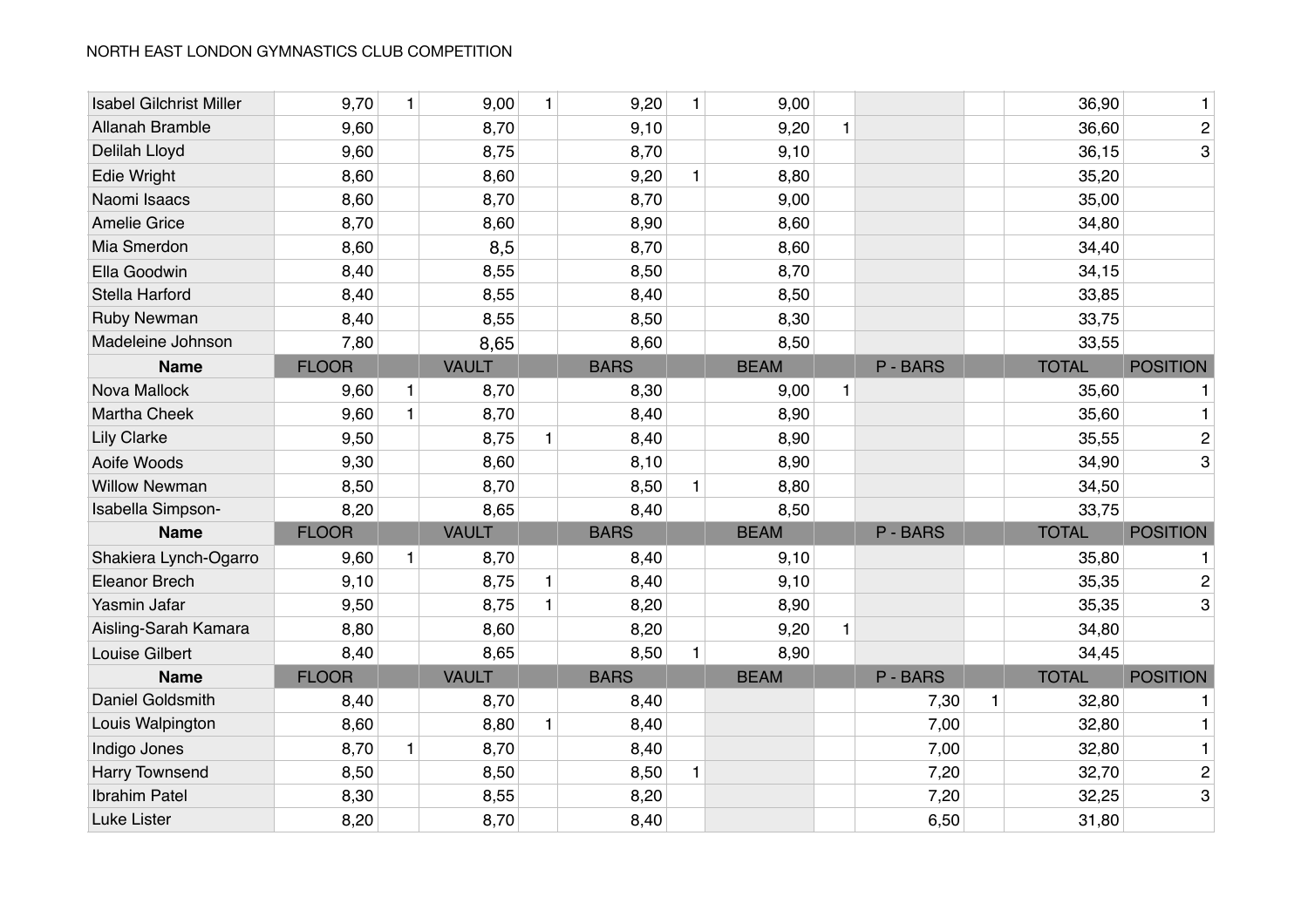| <b>Isabel Gilchrist Miller</b> | 9,70         | 1            | 9,00         | $\mathbf{1}$ | 9,20        | $\mathbf{1}$ | 9,00        |   |          |   | 36,90        | 1               |
|--------------------------------|--------------|--------------|--------------|--------------|-------------|--------------|-------------|---|----------|---|--------------|-----------------|
| Allanah Bramble                | 9,60         |              | 8,70         |              | 9,10        |              | 9,20        | 1 |          |   | 36,60        | $\overline{c}$  |
| Delilah Lloyd                  | 9,60         |              | 8,75         |              | 8,70        |              | 9,10        |   |          |   | 36,15        | 3               |
| Edie Wright                    | 8,60         |              | 8,60         |              | 9,20        | $\mathbf{1}$ | 8,80        |   |          |   | 35,20        |                 |
| Naomi Isaacs                   | 8,60         |              | 8,70         |              | 8,70        |              | 9,00        |   |          |   | 35,00        |                 |
| <b>Amelie Grice</b>            | 8,70         |              | 8,60         |              | 8,90        |              | 8,60        |   |          |   | 34,80        |                 |
| Mia Smerdon                    | 8,60         |              | 8,5          |              | 8,70        |              | 8,60        |   |          |   | 34,40        |                 |
| Ella Goodwin                   | 8,40         |              | 8,55         |              | 8,50        |              | 8,70        |   |          |   | 34,15        |                 |
| Stella Harford                 | 8,40         |              | 8,55         |              | 8,40        |              | 8,50        |   |          |   | 33,85        |                 |
| <b>Ruby Newman</b>             | 8,40         |              | 8,55         |              | 8,50        |              | 8,30        |   |          |   | 33,75        |                 |
| Madeleine Johnson              | 7,80         |              | 8,65         |              | 8,60        |              | 8,50        |   |          |   | 33,55        |                 |
| <b>Name</b>                    | <b>FLOOR</b> |              | <b>VAULT</b> |              | <b>BARS</b> |              | <b>BEAM</b> |   | P - BARS |   | <b>TOTAL</b> | <b>POSITION</b> |
| Nova Mallock                   | 9,60         | $\mathbf{1}$ | 8,70         |              | 8,30        |              | 9,00        | 1 |          |   | 35,60        | 1               |
| Martha Cheek                   | 9,60         | $\mathbf{1}$ | 8,70         |              | 8,40        |              | 8,90        |   |          |   | 35,60        | 1               |
| <b>Lily Clarke</b>             | 9,50         |              | 8,75         | $\mathbf{1}$ | 8,40        |              | 8,90        |   |          |   | 35,55        | $\overline{c}$  |
| Aoife Woods                    | 9,30         |              | 8,60         |              | 8,10        |              | 8,90        |   |          |   | 34,90        | 3               |
| <b>Willow Newman</b>           | 8,50         |              | 8,70         |              | 8,50        | $\mathbf{1}$ | 8,80        |   |          |   | 34,50        |                 |
| Isabella Simpson-              | 8,20         |              | 8,65         |              | 8,40        |              | 8,50        |   |          |   | 33,75        |                 |
| <b>Name</b>                    | <b>FLOOR</b> |              | <b>VAULT</b> |              | <b>BARS</b> |              | <b>BEAM</b> |   | P - BARS |   | <b>TOTAL</b> | <b>POSITION</b> |
| Shakiera Lynch-Ogarro          | 9,60         | $\mathbf{1}$ | 8,70         |              | 8,40        |              | 9,10        |   |          |   | 35,80        |                 |
| Eleanor Brech                  | 9,10         |              | 8,75         | $\mathbf{1}$ | 8,40        |              | 9,10        |   |          |   | 35,35        | $\overline{c}$  |
| Yasmin Jafar                   | 9,50         |              | 8,75         | $\mathbf{1}$ | 8,20        |              | 8,90        |   |          |   | 35,35        | 3               |
| Aisling-Sarah Kamara           | 8,80         |              | 8,60         |              | 8,20        |              | 9,20        | 1 |          |   | 34,80        |                 |
| Louise Gilbert                 | 8,40         |              | 8,65         |              | 8,50        | $\mathbf{1}$ | 8,90        |   |          |   | 34,45        |                 |
| <b>Name</b>                    | <b>FLOOR</b> |              | <b>VAULT</b> |              | <b>BARS</b> |              | <b>BEAM</b> |   | P - BARS |   | <b>TOTAL</b> | <b>POSITION</b> |
| Daniel Goldsmith               | 8,40         |              | 8,70         |              | 8,40        |              |             |   | 7,30     | 1 | 32,80        | 1               |
| Louis Walpington               | 8,60         |              | 8,80         | $\mathbf{1}$ | 8,40        |              |             |   | 7,00     |   | 32,80        | 1               |
| Indigo Jones                   | 8,70         | $\mathbf{1}$ | 8,70         |              | 8,40        |              |             |   | 7,00     |   | 32,80        | 1               |
| Harry Townsend                 | 8,50         |              | 8,50         |              | 8,50        | $\mathbf{1}$ |             |   | 7,20     |   | 32,70        | $\overline{c}$  |
| <b>Ibrahim Patel</b>           | 8,30         |              | 8,55         |              | 8,20        |              |             |   | 7,20     |   | 32,25        | 3               |
| Luke Lister                    | 8,20         |              | 8,70         |              | 8,40        |              |             |   | 6,50     |   | 31,80        |                 |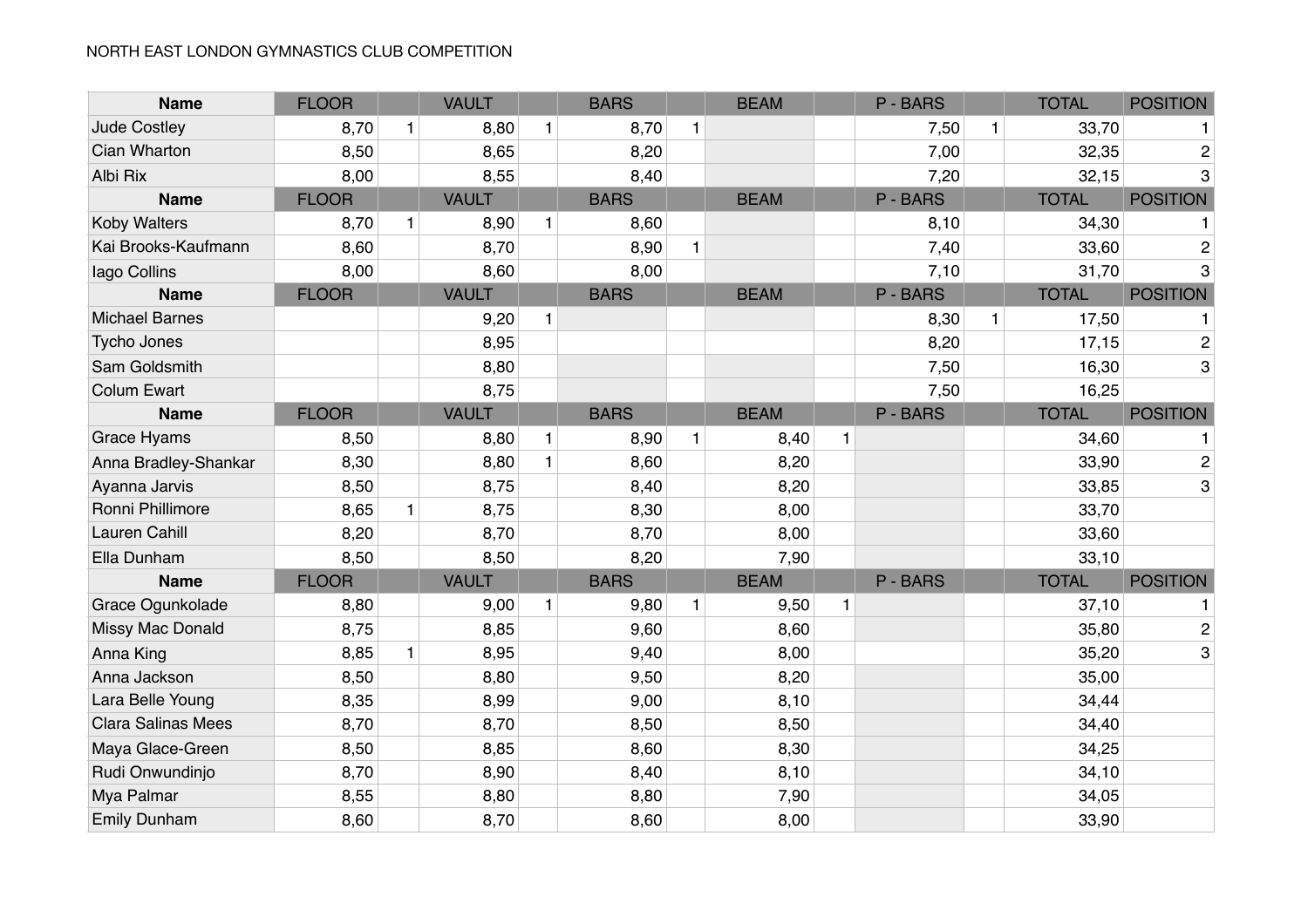| <b>Name</b>               | <b>FLOOR</b> |              | <b>VAULT</b> |              | <b>BARS</b> |              | <b>BEAM</b> |              | P-BARS   |              | <b>TOTAL</b> | <b>POSITION</b> |
|---------------------------|--------------|--------------|--------------|--------------|-------------|--------------|-------------|--------------|----------|--------------|--------------|-----------------|
| Jude Costley              | 8,70         | $\mathbf{1}$ | 8,80         | $\mathbf{1}$ | 8,70        | $\mathbf{1}$ |             |              | 7,50     | $\mathbf{1}$ | 33,70        |                 |
| Cian Wharton              | 8,50         |              | 8,65         |              | 8,20        |              |             |              | 7,00     |              | 32,35        | $\overline{c}$  |
| Albi Rix                  | 8,00         |              | 8,55         |              | 8,40        |              |             |              | 7,20     |              | 32,15        | 3               |
| <b>Name</b>               | <b>FLOOR</b> |              | <b>VAULT</b> |              | <b>BARS</b> |              | <b>BEAM</b> |              | P - BARS |              | <b>TOTAL</b> | <b>POSITION</b> |
| <b>Koby Walters</b>       | 8,70         | $\mathbf{1}$ | 8,90         | $\mathbf{1}$ | 8,60        |              |             |              | 8,10     |              | 34,30        |                 |
| Kai Brooks-Kaufmann       | 8,60         |              | 8,70         |              | 8,90        | $\mathbf{1}$ |             |              | 7,40     |              | 33,60        | 2               |
| lago Collins              | 8,00         |              | 8,60         |              | 8,00        |              |             |              | 7,10     |              | 31,70        | 3               |
| <b>Name</b>               | <b>FLOOR</b> |              | <b>VAULT</b> |              | <b>BARS</b> |              | <b>BEAM</b> |              | P-BARS   |              | <b>TOTAL</b> | <b>POSITION</b> |
| <b>Michael Barnes</b>     |              |              | 9,20         | $\mathbf{1}$ |             |              |             |              | 8,30     | $\mathbf{1}$ | 17,50        |                 |
| <b>Tycho Jones</b>        |              |              | 8,95         |              |             |              |             |              | 8,20     |              | 17,15        | $\overline{2}$  |
| Sam Goldsmith             |              |              | 8,80         |              |             |              |             |              | 7,50     |              | 16,30        | 3               |
| <b>Colum Ewart</b>        |              |              | 8,75         |              |             |              |             |              | 7,50     |              | 16,25        |                 |
| <b>Name</b>               | <b>FLOOR</b> |              | <b>VAULT</b> |              | <b>BARS</b> |              | <b>BEAM</b> |              | P-BARS   |              | <b>TOTAL</b> | <b>POSITION</b> |
| <b>Grace Hyams</b>        | 8,50         |              | 8,80         | $\mathbf{1}$ | 8,90        | $\mathbf{1}$ | 8,40        | 1            |          |              | 34,60        |                 |
| Anna Bradley-Shankar      | 8,30         |              | 8,80         | $\mathbf{1}$ | 8,60        |              | 8,20        |              |          |              | 33,90        | $\overline{c}$  |
| Ayanna Jarvis             | 8,50         |              | 8,75         |              | 8,40        |              | 8,20        |              |          |              | 33,85        | 3               |
| Ronni Phillimore          | 8,65         | $\mathbf{1}$ | 8,75         |              | 8,30        |              | 8,00        |              |          |              | 33,70        |                 |
| <b>Lauren Cahill</b>      | 8,20         |              | 8,70         |              | 8,70        |              | 8,00        |              |          |              | 33,60        |                 |
| Ella Dunham               | 8,50         |              | 8,50         |              | 8,20        |              | 7,90        |              |          |              | 33,10        |                 |
| <b>Name</b>               | <b>FLOOR</b> |              | <b>VAULT</b> |              | <b>BARS</b> |              | <b>BEAM</b> |              | P-BARS   |              | <b>TOTAL</b> | <b>POSITION</b> |
| Grace Ogunkolade          | 8,80         |              | 9,00         | $\mathbf{1}$ | 9,80        | $\mathbf{1}$ | 9,50        | $\mathbf{1}$ |          |              | 37,10        | 1               |
| Missy Mac Donald          | 8,75         |              | 8,85         |              | 9,60        |              | 8,60        |              |          |              | 35,80        | $\overline{c}$  |
| Anna King                 | 8,85         | $\mathbf{1}$ | 8,95         |              | 9,40        |              | 8,00        |              |          |              | 35,20        | 3               |
| Anna Jackson              | 8,50         |              | 8,80         |              | 9,50        |              | 8,20        |              |          |              | 35,00        |                 |
| Lara Belle Young          | 8,35         |              | 8,99         |              | 9,00        |              | 8,10        |              |          |              | 34,44        |                 |
| <b>Clara Salinas Mees</b> | 8,70         |              | 8,70         |              | 8,50        |              | 8,50        |              |          |              | 34,40        |                 |
| Maya Glace-Green          | 8,50         |              | 8,85         |              | 8,60        |              | 8,30        |              |          |              | 34,25        |                 |
| Rudi Onwundinjo           | 8,70         |              | 8,90         |              | 8,40        |              | 8,10        |              |          |              | 34,10        |                 |
| Mya Palmar                | 8,55         |              | 8,80         |              | 8,80        |              | 7,90        |              |          |              | 34,05        |                 |
| <b>Emily Dunham</b>       | 8,60         |              | 8,70         |              | 8,60        |              | 8,00        |              |          |              | 33,90        |                 |